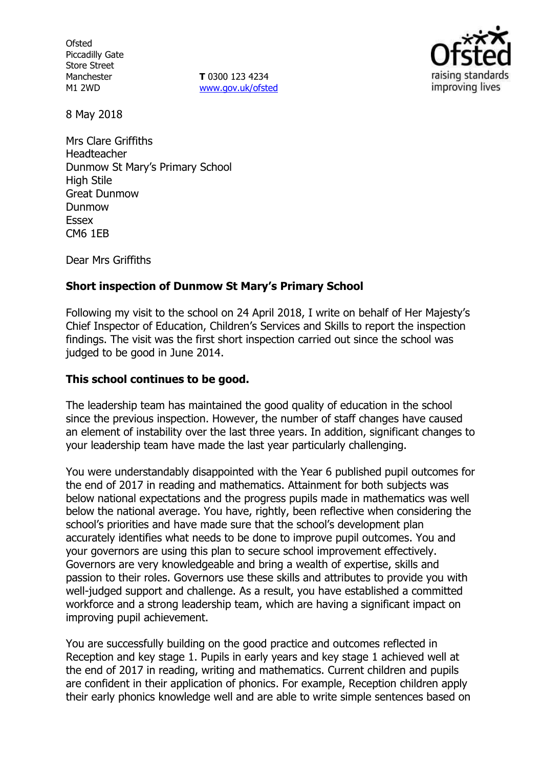**Ofsted** Piccadilly Gate Store Street Manchester M1 2WD

**T** 0300 123 4234 www.gov.uk/ofsted



8 May 2018

Mrs Clare Griffiths Headteacher Dunmow St Mary's Primary School High Stile Great Dunmow Dunmow Essex CM6 1EB

Dear Mrs Griffiths

## **Short inspection of Dunmow St Mary's Primary School**

Following my visit to the school on 24 April 2018, I write on behalf of Her Majesty's Chief Inspector of Education, Children's Services and Skills to report the inspection findings. The visit was the first short inspection carried out since the school was judged to be good in June 2014.

### **This school continues to be good.**

The leadership team has maintained the good quality of education in the school since the previous inspection. However, the number of staff changes have caused an element of instability over the last three years. In addition, significant changes to your leadership team have made the last year particularly challenging.

You were understandably disappointed with the Year 6 published pupil outcomes for the end of 2017 in reading and mathematics. Attainment for both subjects was below national expectations and the progress pupils made in mathematics was well below the national average. You have, rightly, been reflective when considering the school's priorities and have made sure that the school's development plan accurately identifies what needs to be done to improve pupil outcomes. You and your governors are using this plan to secure school improvement effectively. Governors are very knowledgeable and bring a wealth of expertise, skills and passion to their roles. Governors use these skills and attributes to provide you with well-judged support and challenge. As a result, you have established a committed workforce and a strong leadership team, which are having a significant impact on improving pupil achievement.

You are successfully building on the good practice and outcomes reflected in Reception and key stage 1. Pupils in early years and key stage 1 achieved well at the end of 2017 in reading, writing and mathematics. Current children and pupils are confident in their application of phonics. For example, Reception children apply their early phonics knowledge well and are able to write simple sentences based on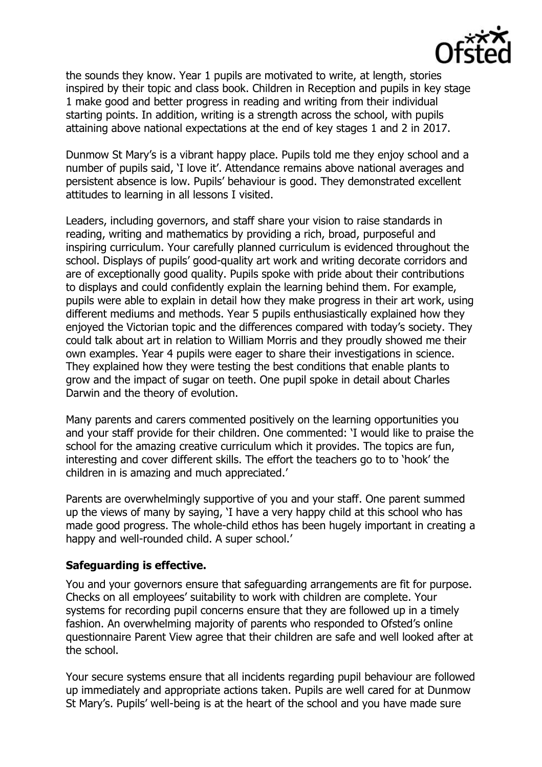

the sounds they know. Year 1 pupils are motivated to write, at length, stories inspired by their topic and class book. Children in Reception and pupils in key stage 1 make good and better progress in reading and writing from their individual starting points. In addition, writing is a strength across the school, with pupils attaining above national expectations at the end of key stages 1 and 2 in 2017.

Dunmow St Mary's is a vibrant happy place. Pupils told me they enjoy school and a number of pupils said, 'I love it'. Attendance remains above national averages and persistent absence is low. Pupils' behaviour is good. They demonstrated excellent attitudes to learning in all lessons I visited.

Leaders, including governors, and staff share your vision to raise standards in reading, writing and mathematics by providing a rich, broad, purposeful and inspiring curriculum. Your carefully planned curriculum is evidenced throughout the school. Displays of pupils' good-quality art work and writing decorate corridors and are of exceptionally good quality. Pupils spoke with pride about their contributions to displays and could confidently explain the learning behind them. For example, pupils were able to explain in detail how they make progress in their art work, using different mediums and methods. Year 5 pupils enthusiastically explained how they enjoyed the Victorian topic and the differences compared with today's society. They could talk about art in relation to William Morris and they proudly showed me their own examples. Year 4 pupils were eager to share their investigations in science. They explained how they were testing the best conditions that enable plants to grow and the impact of sugar on teeth. One pupil spoke in detail about Charles Darwin and the theory of evolution.

Many parents and carers commented positively on the learning opportunities you and your staff provide for their children. One commented: 'I would like to praise the school for the amazing creative curriculum which it provides. The topics are fun, interesting and cover different skills. The effort the teachers go to to 'hook' the children in is amazing and much appreciated.'

Parents are overwhelmingly supportive of you and your staff. One parent summed up the views of many by saying, 'I have a very happy child at this school who has made good progress. The whole-child ethos has been hugely important in creating a happy and well-rounded child. A super school.'

### **Safeguarding is effective.**

You and your governors ensure that safeguarding arrangements are fit for purpose. Checks on all employees' suitability to work with children are complete. Your systems for recording pupil concerns ensure that they are followed up in a timely fashion. An overwhelming majority of parents who responded to Ofsted's online questionnaire Parent View agree that their children are safe and well looked after at the school.

Your secure systems ensure that all incidents regarding pupil behaviour are followed up immediately and appropriate actions taken. Pupils are well cared for at Dunmow St Mary's. Pupils' well-being is at the heart of the school and you have made sure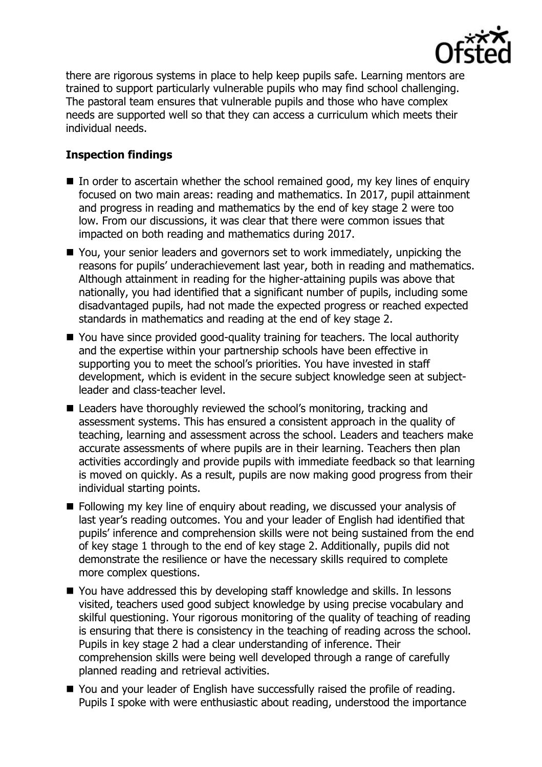

there are rigorous systems in place to help keep pupils safe. Learning mentors are trained to support particularly vulnerable pupils who may find school challenging. The pastoral team ensures that vulnerable pupils and those who have complex needs are supported well so that they can access a curriculum which meets their individual needs.

# **Inspection findings**

- $\blacksquare$  In order to ascertain whether the school remained good, my key lines of enquiry focused on two main areas: reading and mathematics. In 2017, pupil attainment and progress in reading and mathematics by the end of key stage 2 were too low. From our discussions, it was clear that there were common issues that impacted on both reading and mathematics during 2017.
- You, your senior leaders and governors set to work immediately, unpicking the reasons for pupils' underachievement last year, both in reading and mathematics. Although attainment in reading for the higher-attaining pupils was above that nationally, you had identified that a significant number of pupils, including some disadvantaged pupils, had not made the expected progress or reached expected standards in mathematics and reading at the end of key stage 2.
- You have since provided good-quality training for teachers. The local authority and the expertise within your partnership schools have been effective in supporting you to meet the school's priorities. You have invested in staff development, which is evident in the secure subject knowledge seen at subjectleader and class-teacher level.
- Leaders have thoroughly reviewed the school's monitoring, tracking and assessment systems. This has ensured a consistent approach in the quality of teaching, learning and assessment across the school. Leaders and teachers make accurate assessments of where pupils are in their learning. Teachers then plan activities accordingly and provide pupils with immediate feedback so that learning is moved on quickly. As a result, pupils are now making good progress from their individual starting points.
- **Following my key line of enquiry about reading, we discussed your analysis of** last year's reading outcomes. You and your leader of English had identified that pupils' inference and comprehension skills were not being sustained from the end of key stage 1 through to the end of key stage 2. Additionally, pupils did not demonstrate the resilience or have the necessary skills required to complete more complex questions.
- You have addressed this by developing staff knowledge and skills. In lessons visited, teachers used good subject knowledge by using precise vocabulary and skilful questioning. Your rigorous monitoring of the quality of teaching of reading is ensuring that there is consistency in the teaching of reading across the school. Pupils in key stage 2 had a clear understanding of inference. Their comprehension skills were being well developed through a range of carefully planned reading and retrieval activities.
- You and your leader of English have successfully raised the profile of reading. Pupils I spoke with were enthusiastic about reading, understood the importance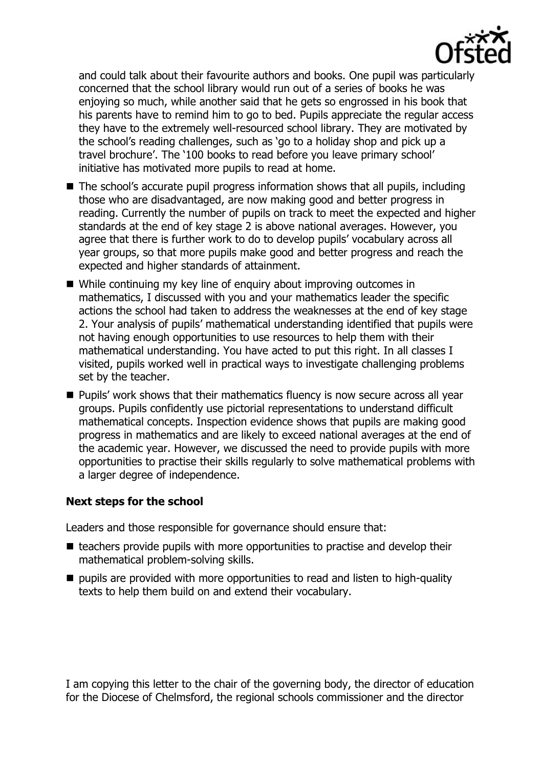

and could talk about their favourite authors and books. One pupil was particularly concerned that the school library would run out of a series of books he was enjoying so much, while another said that he gets so engrossed in his book that his parents have to remind him to go to bed. Pupils appreciate the regular access they have to the extremely well-resourced school library. They are motivated by the school's reading challenges, such as 'go to a holiday shop and pick up a travel brochure'. The '100 books to read before you leave primary school' initiative has motivated more pupils to read at home.

- The school's accurate pupil progress information shows that all pupils, including those who are disadvantaged, are now making good and better progress in reading. Currently the number of pupils on track to meet the expected and higher standards at the end of key stage 2 is above national averages. However, you agree that there is further work to do to develop pupils' vocabulary across all year groups, so that more pupils make good and better progress and reach the expected and higher standards of attainment.
- While continuing my key line of enquiry about improving outcomes in mathematics, I discussed with you and your mathematics leader the specific actions the school had taken to address the weaknesses at the end of key stage 2. Your analysis of pupils' mathematical understanding identified that pupils were not having enough opportunities to use resources to help them with their mathematical understanding. You have acted to put this right. In all classes I visited, pupils worked well in practical ways to investigate challenging problems set by the teacher.
- **Pupils' work shows that their mathematics fluency is now secure across all year** groups. Pupils confidently use pictorial representations to understand difficult mathematical concepts. Inspection evidence shows that pupils are making good progress in mathematics and are likely to exceed national averages at the end of the academic year. However, we discussed the need to provide pupils with more opportunities to practise their skills regularly to solve mathematical problems with a larger degree of independence.

## **Next steps for the school**

Leaders and those responsible for governance should ensure that:

- $\blacksquare$  teachers provide pupils with more opportunities to practise and develop their mathematical problem-solving skills.
- pupils are provided with more opportunities to read and listen to high-quality texts to help them build on and extend their vocabulary.

I am copying this letter to the chair of the governing body, the director of education for the Diocese of Chelmsford, the regional schools commissioner and the director